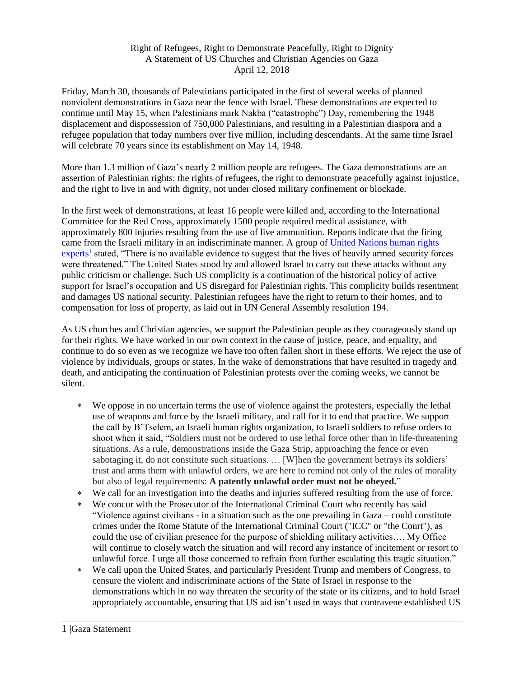## Right of Refugees, Right to Demonstrate Peacefully, Right to Dignity A Statement of US Churches and Christian Agencies on Gaza April 12, 2018

Friday, March 30, thousands of Palestinians participated in the first of several weeks of planned nonviolent demonstrations in Gaza near the fence with Israel. These demonstrations are expected to continue until May 15, when Palestinians mark Nakba ("catastrophe") Day, remembering the 1948 displacement and dispossession of 750,000 Palestinians, and resulting in a Palestinian diaspora and a refugee population that today numbers over five million, including descendants. At the same time Israel will celebrate 70 years since its establishment on May 14, 1948.

More than 1.3 million of Gaza's nearly 2 million people are refugees. The Gaza demonstrations are an assertion of Palestinian rights: the rights of refugees, the right to demonstrate peacefully against injustice, and the right to live in and with dignity, not under closed military confinement or blockade.

In the first week of demonstrations, at least 16 people were killed and, according to the International Committee for the Red Cross, approximately 1500 people required medical assistance, with approximately 800 injuries resulting from the use of live ammunition. Reports indicate that the firing came from the Israeli military in an indiscriminate manner. A group o[f United Nations human rights](http://www.ohchr.org/EN/NewsEvents/Pages/DisplayNews.aspx?NewsID=22924&LangID=E)  [experts](http://www.ohchr.org/EN/NewsEvents/Pages/DisplayNews.aspx?NewsID=22924&LangID=E)<sup>1</sup> stated, "There is no available evidence to suggest that the lives of heavily armed security forces were threatened." The United States stood by and allowed Israel to carry out these attacks without any public criticism or challenge. Such US complicity is a continuation of the historical policy of active support for Israel's occupation and US disregard for Palestinian rights. This complicity builds resentment and damages US national security. Palestinian refugees have the right to return to their homes, and to compensation for loss of property, as laid out in UN General Assembly resolution 194.

As US churches and Christian agencies, we support the Palestinian people as they courageously stand up for their rights. We have worked in our own context in the cause of justice, peace, and equality, and continue to do so even as we recognize we have too often fallen short in these efforts. We reject the use of violence by individuals, groups or states. In the wake of demonstrations that have resulted in tragedy and death, and anticipating the continuation of Palestinian protests over the coming weeks, we cannot be silent.

- We oppose in no uncertain terms the use of violence against the protesters, especially the lethal use of weapons and force by the Israeli military, and call for it to end that practice. We support the call by B'Tselem, an Israeli human rights organization, to Israeli soldiers to refuse orders to shoot when it said, "Soldiers must not be ordered to use lethal force other than in life-threatening situations. As a rule, demonstrations inside the Gaza Strip, approaching the fence or even sabotaging it, do not constitute such situations. … [W]hen the government betrays its soldiers' trust and arms them with unlawful orders, we are here to remind not only of the rules of morality but also of legal requirements: **A patently unlawful order must not be obeyed.**"
- We call for an investigation into the deaths and injuries suffered resulting from the use of force.
- We concur with the Prosecutor of the International Criminal Court who recently has said "Violence against civilians - in a situation such as the one prevailing in Gaza – could constitute crimes under the Rome Statute of the International Criminal Court ("ICC" or "the Court"), as could the use of civilian presence for the purpose of shielding military activities…. My Office will continue to closely watch the situation and will record any instance of incitement or resort to unlawful force. I urge all those concerned to refrain from further escalating this tragic situation."
- We call upon the United States, and particularly President Trump and members of Congress, to censure the violent and indiscriminate actions of the State of Israel in response to the demonstrations which in no way threaten the security of the state or its citizens, and to hold Israel appropriately accountable, ensuring that US aid isn't used in ways that contravene established US